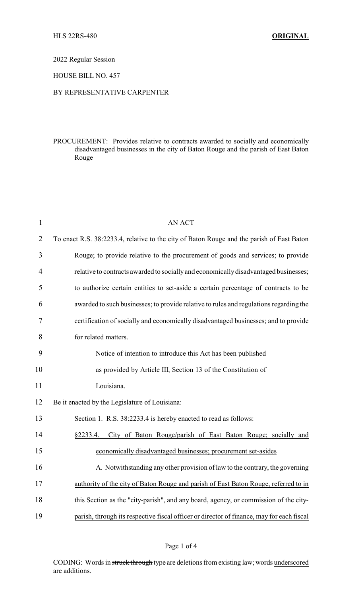2022 Regular Session

HOUSE BILL NO. 457

## BY REPRESENTATIVE CARPENTER

PROCUREMENT: Provides relative to contracts awarded to socially and economically disadvantaged businesses in the city of Baton Rouge and the parish of East Baton Rouge

| $\mathbf{1}$   | <b>AN ACT</b>                                                                             |
|----------------|-------------------------------------------------------------------------------------------|
| $\overline{2}$ | To enact R.S. 38:2233.4, relative to the city of Baton Rouge and the parish of East Baton |
| 3              | Rouge; to provide relative to the procurement of goods and services; to provide           |
| $\overline{4}$ | relative to contracts awarded to socially and economically disadvantaged businesses;      |
| 5              | to authorize certain entities to set-aside a certain percentage of contracts to be        |
| 6              | awarded to such businesses; to provide relative to rules and regulations regarding the    |
| 7              | certification of socially and economically disadvantaged businesses; and to provide       |
| 8              | for related matters.                                                                      |
| 9              | Notice of intention to introduce this Act has been published                              |
| 10             | as provided by Article III, Section 13 of the Constitution of                             |
| 11             | Louisiana.                                                                                |
| 12             | Be it enacted by the Legislature of Louisiana:                                            |
| 13             | Section 1. R.S. 38:2233.4 is hereby enacted to read as follows:                           |
| 14             | City of Baton Rouge/parish of East Baton Rouge; socially and<br>§2233.4.                  |
| 15             | economically disadvantaged businesses; procurement set-asides                             |
| 16             | A. Notwithstanding any other provision of law to the contrary, the governing              |
| 17             | authority of the city of Baton Rouge and parish of East Baton Rouge, referred to in       |
| 18             | this Section as the "city-parish", and any board, agency, or commission of the city-      |
| 19             | parish, through its respective fiscal officer or director of finance, may for each fiscal |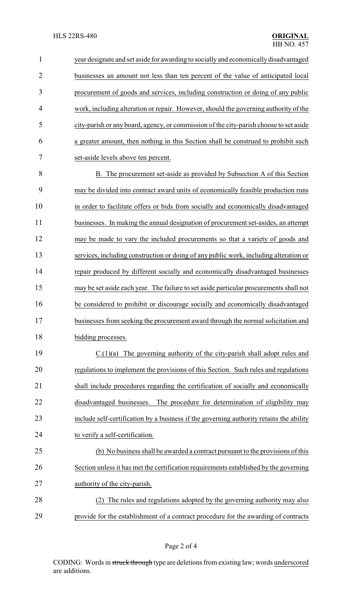| $\mathbf{1}$   | year designate and set aside for awarding to socially and economically disadvantaged   |
|----------------|----------------------------------------------------------------------------------------|
| $\overline{2}$ | businesses an amount not less than ten percent of the value of anticipated local       |
| 3              | procurement of goods and services, including construction or doing of any public       |
| $\overline{4}$ | work, including alteration or repair. However, should the governing authority of the   |
| 5              | city-parish or any board, agency, or commission of the city-parish choose to set aside |
| 6              | a greater amount, then nothing in this Section shall be construed to prohibit such     |
| $\overline{7}$ | set-aside levels above ten percent.                                                    |
| 8              | B. The procurement set-aside as provided by Subsection A of this Section               |
| 9              | may be divided into contract award units of economically feasible production runs      |
| 10             | in order to facilitate offers or bids from socially and economically disadvantaged     |
| 11             | businesses. In making the annual designation of procurement set-asides, an attempt     |
| 12             | may be made to vary the included procurements so that a variety of goods and           |
| 13             | services, including construction or doing of any public work, including alteration or  |
| 14             | repair produced by different socially and economically disadvantaged businesses        |
| 15             | may be set aside each year. The failure to set aside particular procurements shall not |
| 16             | be considered to prohibit or discourage socially and economically disadvantaged        |
| 17             | businesses from seeking the procurement award through the normal solicitation and      |
| 18             | bidding processes.                                                                     |

 C.(1)(a) The governing authority of the city-parish shall adopt rules and regulations to implement the provisions of this Section. Such rules and regulations shall include procedures regarding the certification of socially and economically disadvantaged businesses. The procedure for determination of eligibility may include self-certification by a business if the governing authority retains the ability to verify a self-certification.

# (b) No business shall be awarded a contract pursuant to the provisions of this Section unless it has met the certification requirements established by the governing authority of the city-parish.

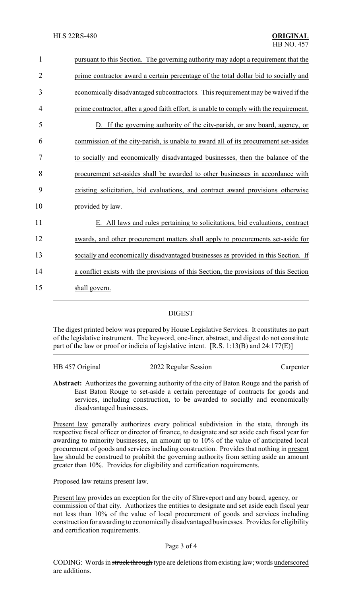| $\mathbf{1}$   | pursuant to this Section. The governing authority may adopt a requirement that the     |
|----------------|----------------------------------------------------------------------------------------|
| $\overline{2}$ | prime contractor award a certain percentage of the total dollar bid to socially and    |
| 3              | economically disadvantaged subcontractors. This requirement may be waived if the       |
| 4              | prime contractor, after a good faith effort, is unable to comply with the requirement. |
| 5              | D. If the governing authority of the city-parish, or any board, agency, or             |
| 6              | commission of the city-parish, is unable to award all of its procurement set-asides    |
| 7              | to socially and economically disadvantaged businesses, then the balance of the         |
| 8              | procurement set-asides shall be awarded to other businesses in accordance with         |
| 9              | existing solicitation, bid evaluations, and contract award provisions otherwise        |
| 10             | provided by law.                                                                       |
| 11             | E. All laws and rules pertaining to solicitations, bid evaluations, contract           |
| 12             | awards, and other procurement matters shall apply to procurements set-aside for        |
| 13             | socially and economically disadvantaged businesses as provided in this Section. If     |
| 14             | a conflict exists with the provisions of this Section, the provisions of this Section  |
| 15             | shall govern.                                                                          |
|                |                                                                                        |

### DIGEST

The digest printed below was prepared by House Legislative Services. It constitutes no part of the legislative instrument. The keyword, one-liner, abstract, and digest do not constitute part of the law or proof or indicia of legislative intent. [R.S. 1:13(B) and 24:177(E)]

### HB 457 Original 2022 Regular Session Carpenter

**Abstract:** Authorizes the governing authority of the city of Baton Rouge and the parish of East Baton Rouge to set-aside a certain percentage of contracts for goods and services, including construction, to be awarded to socially and economically disadvantaged businesses.

Present law generally authorizes every political subdivision in the state, through its respective fiscal officer or director of finance, to designate and set aside each fiscal year for awarding to minority businesses, an amount up to 10% of the value of anticipated local procurement of goods and services including construction. Provides that nothing in present law should be construed to prohibit the governing authority from setting aside an amount greater than 10%. Provides for eligibility and certification requirements.

Proposed law retains present law.

Present law provides an exception for the city of Shreveport and any board, agency, or commission of that city. Authorizes the entities to designate and set aside each fiscal year not less than 10% of the value of local procurement of goods and services including construction for awarding to economicallydisadvantaged businesses. Provides for eligibility and certification requirements.

### Page 3 of 4

CODING: Words in struck through type are deletions from existing law; words underscored are additions.